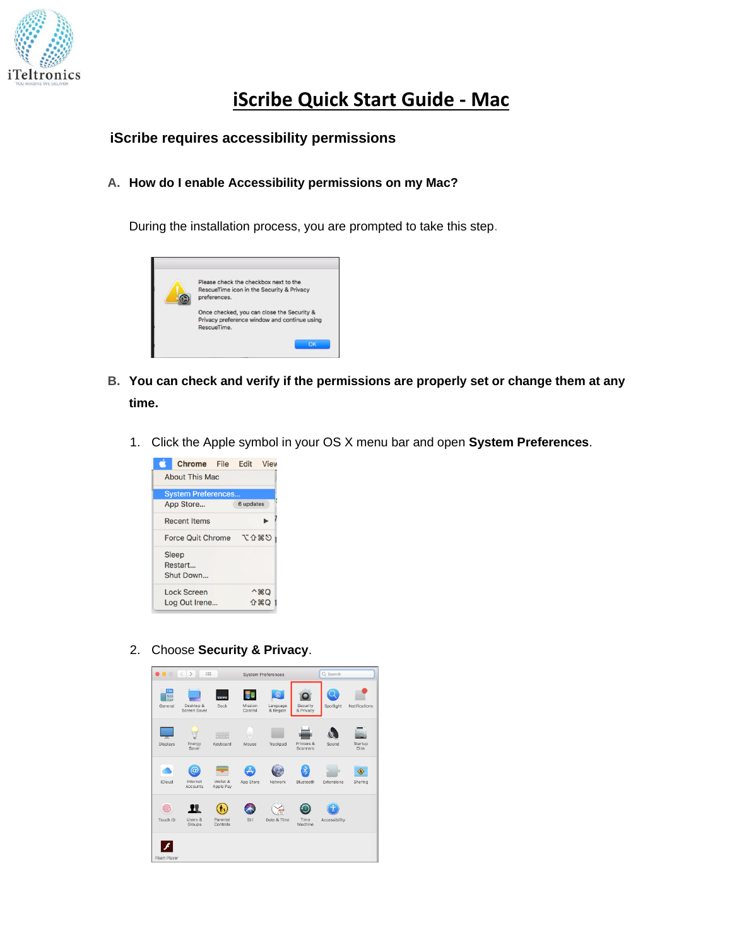

## **iScribe Quick Start Guide - Mac**

## **iScribe requires accessibility permissions**

## **A. How do I enable Accessibility permissions on my Mac?**

During the installation process, you are prompted to take this step.



- **B. You can check and verify if the permissions are properly set or change them at any time.**
	- 1. Click the Apple symbol in your OS X menu bar and open **System Preferences**.



2. Choose **Security & Privacy**.

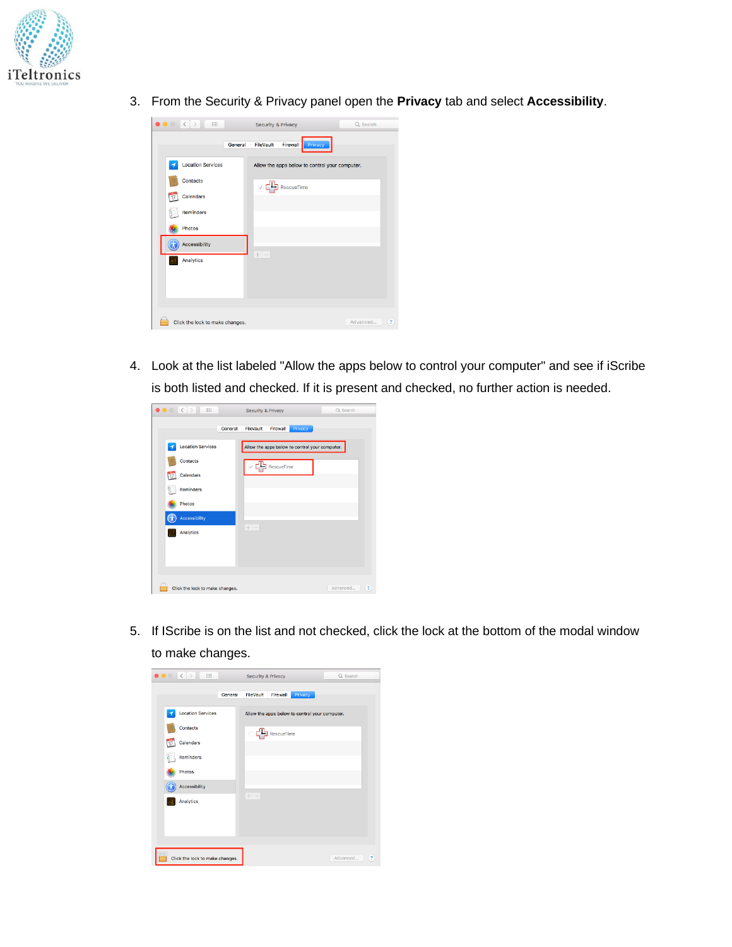

3. From the Security & Privacy panel open the **Privacy** tab and select **Accessibility**.

| $\bullet$ $\circ$ $\leftrightarrow$<br>$\Xi\Xi$ | Security & Privacy                             | Q Search                            |
|-------------------------------------------------|------------------------------------------------|-------------------------------------|
|                                                 | FileVault<br>Privacy<br>General<br>Firewall    |                                     |
| <b>Location Services</b>                        | Allow the apps below to control your computer. |                                     |
| <b>Contacts</b>                                 | RescueTime<br>$\overline{\vee}$                |                                     |
| Calendars<br>$\overline{17}$                    |                                                |                                     |
| t<br>Reminders                                  |                                                |                                     |
| Photos                                          |                                                |                                     |
| Accessibility                                   |                                                |                                     |
| Analytics                                       | $+ -$                                          |                                     |
|                                                 |                                                |                                     |
|                                                 |                                                |                                     |
|                                                 |                                                |                                     |
| Click the lock to make changes.                 |                                                | Advanced<br>$\overline{\mathbf{?}}$ |

4. Look at the list labeled "Allow the apps below to control your computer" and see if iScribe is both listed and checked. If it is present and checked, no further action is needed.

| $\bullet \bullet \circ \langle \ \rangle$<br>$\frac{1}{2}$ | Security & Privacy                             | Q Search        |
|------------------------------------------------------------|------------------------------------------------|-----------------|
|                                                            | Firewall<br>FileVault<br>General<br>Privacy    |                 |
| <b>Location Services</b><br>-1                             | Allow the apps below to control your computer. |                 |
| Contacts                                                   | RescueTime                                     |                 |
| Calendars<br>$\overline{17}$                               |                                                |                 |
| ŧ<br>Reminders                                             |                                                |                 |
| <b>Photos</b>                                              |                                                |                 |
| Accessibility                                              |                                                |                 |
| Analytics                                                  | $+ -$                                          |                 |
|                                                            |                                                |                 |
|                                                            |                                                |                 |
| Click the lock to make changes.                            |                                                | Advanced<br>(2) |

5. If IScribe is on the list and not checked, click the lock at the bottom of the modal window to make changes.

| $\bullet \circ \langle \cdot   \cdot \rangle$<br>$\frac{1}{2}$ |         | Security & Privacy                             | Q Search |
|----------------------------------------------------------------|---------|------------------------------------------------|----------|
|                                                                | General | Firewall<br>FileVault<br>Privacy               |          |
| <b>Location Services</b>                                       |         | Allow the apps below to control your computer. |          |
| Contacts                                                       |         | RescueTime                                     |          |
| Calendars<br>Ŵ                                                 |         |                                                |          |
| <b>Reminders</b>                                               |         |                                                |          |
| <b>Photos</b>                                                  |         |                                                |          |
| Accessibility                                                  |         |                                                |          |
| Analytics                                                      |         | $+$                                            |          |
|                                                                |         |                                                |          |
|                                                                |         |                                                |          |
|                                                                |         |                                                |          |
| Click the lock to make changes.                                |         |                                                | Advanced |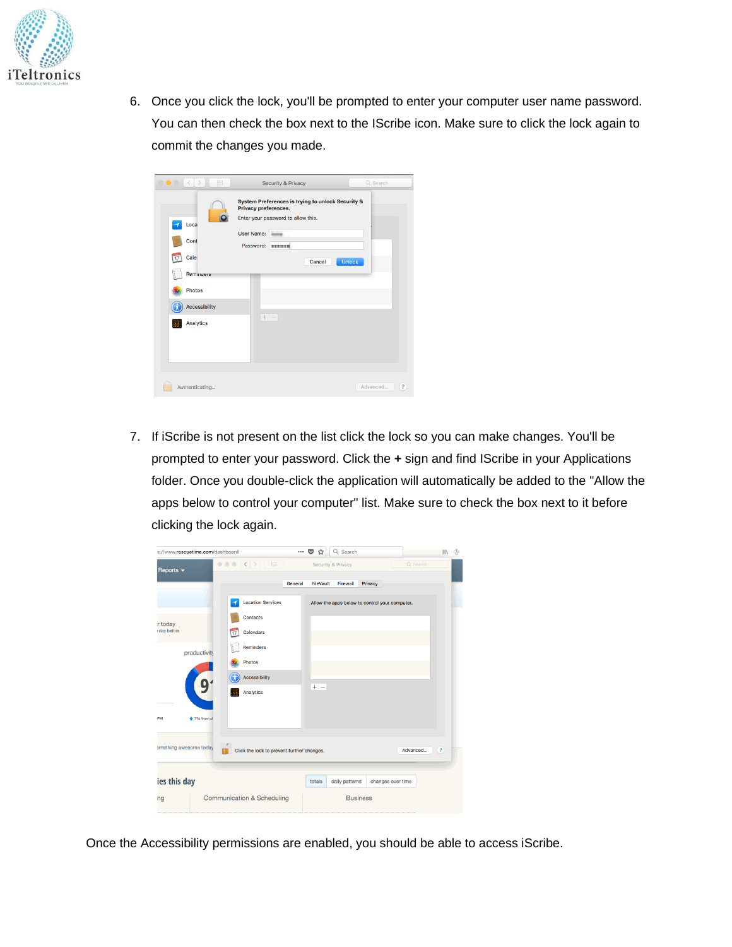

6. Once you click the lock, you'll be prompted to enter your computer user name password. You can then check the box next to the IScribe icon. Make sure to click the lock again to commit the changes you made.

| $\rightarrow$<br>$\circ\bullet\circ$<br>$\langle$<br>88                                     |                                                               | <b>Security &amp; Privacy</b>               |                                                             | Q Search                   |  |
|---------------------------------------------------------------------------------------------|---------------------------------------------------------------|---------------------------------------------|-------------------------------------------------------------|----------------------------|--|
| Loca<br>Cont<br>$\overline{v}$<br>Cale<br>Reminuers<br>Photos<br>Accessibility<br>Analytics | Privacy preferences.<br>User Name:<br>Password: <b>HIMMIN</b> | Enter your password to allow this.<br>$+ -$ | System Preferences is trying to unlock Security &<br>Cancel | Unlock                     |  |
| Authenticating                                                                              |                                                               |                                             |                                                             | $\overline{?}$<br>Advanced |  |

7. If iScribe is not present on the list click the lock so you can make changes. You'll be prompted to enter your password. Click the **+** sign and find IScribe in your Applications folder. Once you double-click the application will automatically be added to the "Allow the apps below to control your computer" list. Make sure to check the box next to it before clicking the lock again.

| s://www.rescuetime.com/dashboard |                                            | Q Search<br>$\bullet$<br>$\cdots$<br>☆         | 中<br>$\parallel$              |
|----------------------------------|--------------------------------------------|------------------------------------------------|-------------------------------|
| Reports $\blacktriangleright$    | 000 (1)<br>$\frac{1}{2}$                   | Security & Privacy                             | Q Search                      |
|                                  | General                                    | Privacy<br>FileVault<br>Firewall               |                               |
|                                  | <b>Location Services</b>                   | Allow the apps below to control your computer. |                               |
| <b>r</b> today                   | Contacts                                   |                                                |                               |
| day before                       | Calendars<br>$\overline{17}$               |                                                |                               |
| productivity                     | ١<br>Reminders                             |                                                |                               |
|                                  | Photos                                     |                                                |                               |
| 9                                | Accessibility                              | $+ -$                                          |                               |
|                                  | Analytics                                  |                                                |                               |
| $+7%$ from d<br><b>IPM</b>       |                                            |                                                |                               |
|                                  |                                            |                                                |                               |
| omething awesome today           | Click the lock to prevent further changes. |                                                | Advanced<br>$\left( 2\right)$ |
|                                  |                                            |                                                |                               |
| ies this day                     |                                            | changes over time<br>daily patterns<br>totals  |                               |
| ng                               | Communication & Scheduling                 | <b>Business</b>                                |                               |

Once the Accessibility permissions are enabled, you should be able to access iScribe.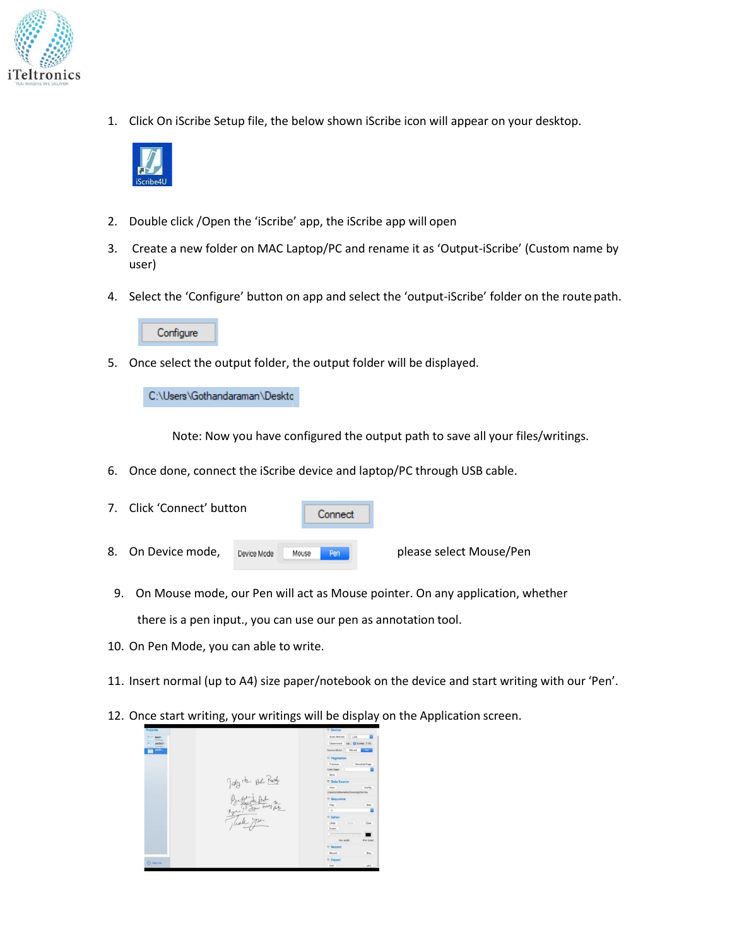

1. Click On iScribe Setup file, the below shown iScribe icon will appear on your desktop.



- 2. Double click /Open the 'iScribe' app, the iScribe app will open
- 3. Create a new folder on MAC Laptop/PC and rename it as 'Output-iScribe' (Custom name by user)
- 4. Select the 'Configure' button on app and select the 'output-iScribe' folder on the route path.



5. Once select the output folder, the output folder will be displayed.

C:\Users\Gothandaraman\Deskto

Note: Now you have configured the output path to save all your files/writings.

6. Once done, connect the iScribe device and laptop/PC through USB cable.

| 7. Click 'Connect' button |             |       | Connect |                         |
|---------------------------|-------------|-------|---------|-------------------------|
| 8. On Device mode,        | Device Mode | Mouse | Pen     | please select Mouse/Pen |

- 9. On Mouse mode, our Pen will act as Mouse pointer. On any application, whether there is a pen input., you can use our pen as annotation tool.
- 10. On Pen Mode, you can able to write.
- 11. Insert normal (up to A4) size paper/notebook on the device and start writing with our 'Pen'.
- 12. Once start writing, your writings will be display on the Application screen.

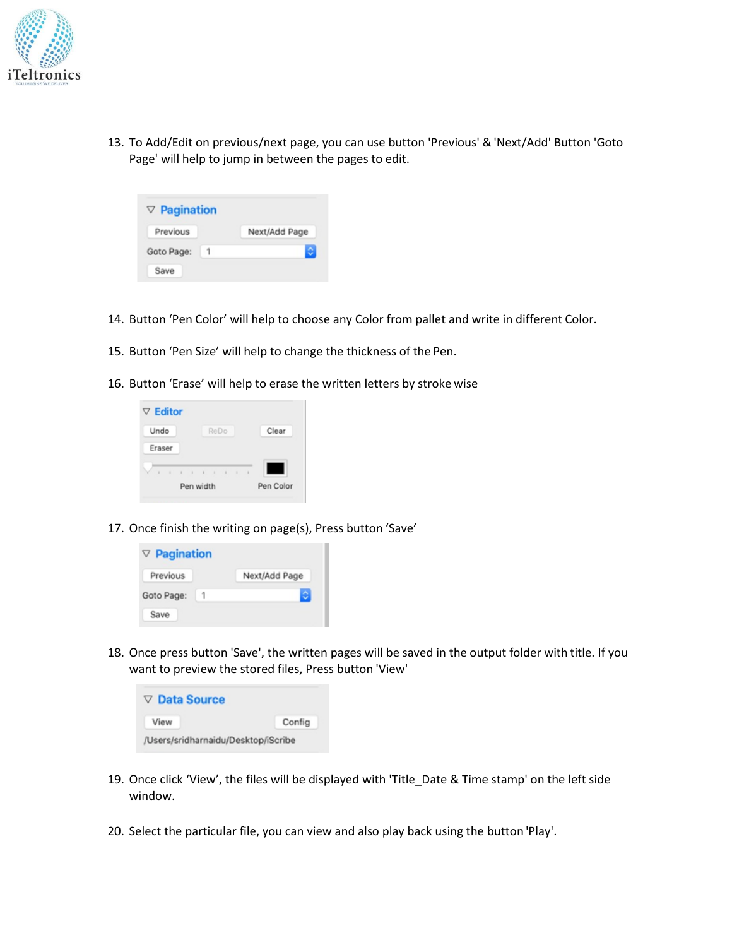

13. To Add/Edit on previous/next page, you can use button 'Previous' & 'Next/Add' Button 'Goto Page' will help to jump in between the pages to edit.

| $\nabla$ Pagination |               |
|---------------------|---------------|
| Previous            | Next/Add Page |
| Goto Page:          |               |
| Save                |               |

- 14. Button 'Pen Color' will help to choose any Color from pallet and write in different Color.
- 15. Button 'Pen Size' will help to change the thickness of the Pen.
- 16. Button 'Erase' will help to erase the written letters by stroke wise



17. Once finish the writing on page(s), Press button 'Save'



18. Once press button 'Save', the written pages will be saved in the output folder with title. If you want to preview the stored files, Press button 'View'

| $\triangledown$ Data Source         |        |
|-------------------------------------|--------|
| View                                | Config |
| /Users/sridharnaidu/Desktop/iScribe |        |

- 19. Once click 'View', the files will be displayed with 'Title\_Date & Time stamp' on the left side window.
- 20. Select the particular file, you can view and also play back using the button 'Play'.